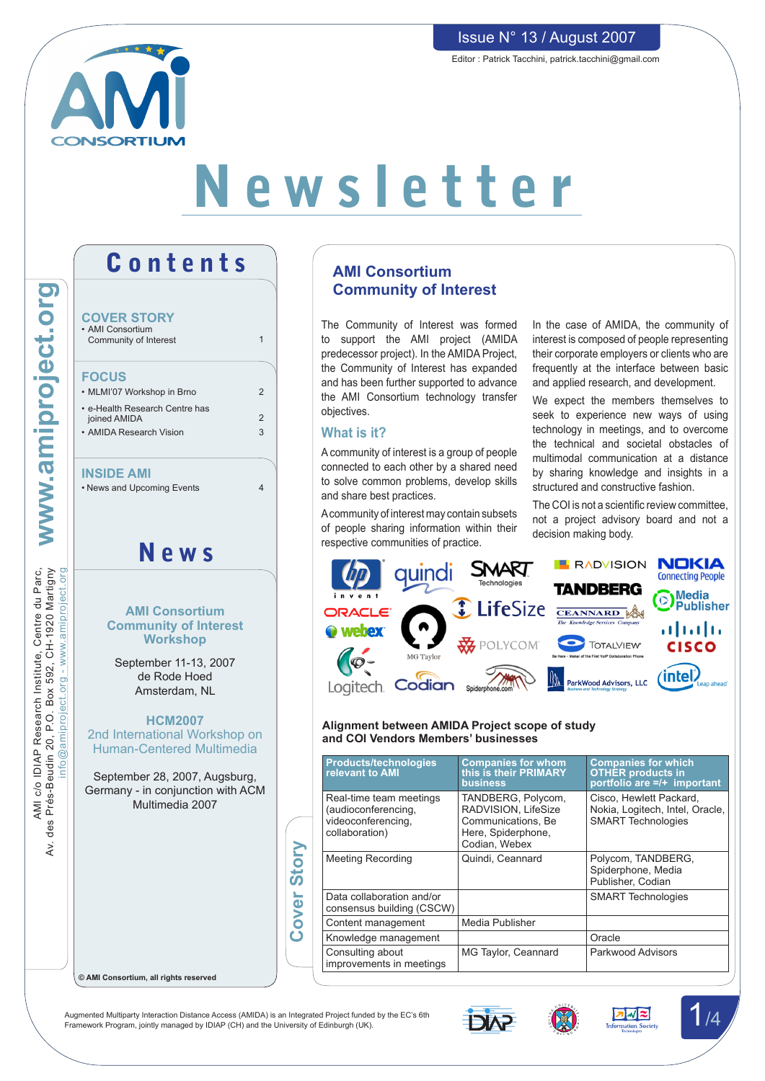

# Issue N° 13 / August 2007

Editor : Patrick Tacchini, patrick.tacchini@gmail.com

# Newsletter

Contents www.amiproject.org IDIAP Research Institute, Centre du Parc,<br>sudin 20, P.O. Box 592, CH-1920 Martigny<br>info@amiproject.org - www.amiproject.org **COVER STORY** • AMI Consortium Community of Interest 1 **FOCUS** • MLMI'07 Workshop in Brno  $\overline{2}$ • e-Health Research Centre has 2 joined AMIDA • AMIDA Research Vision 3 **INSIDE AMI** • News and Upcoming Events 4 News AMI c/o IDIAP Research Institute, Centre du Parc,<br>des Prés-Beudin 20, P.O. Box 592, CH-1920 Martigny Av. des Prés-Beudin 20, P.O. Box 592, CH-1920 Martigny nfo@amiproject.org - www.amiproject.org **AMI Consortium Community of Interest Workshop** September 11-13, 2007 de Rode Hoed Amsterdam, NL **HCM2007** 2nd International Workshop on Human-Centered Multimedia September 28, 2007, Augsburg, Germany - in conjunction with ACM Multimedia 2007  $\lambda$ **Cover Story** Cover Story

AMI c/o IDIAP Research Institute, Centre du Parc,

# **AMI Consortium Community of Interest**

The Community of Interest was formed to support the AMI project (AMIDA predecessor project). In the AMIDA Project, the Community of Interest has expanded and has been further supported to advance the AMI Consortium technology transfer objectives.

## **What is it?**

A community of interest is a group of people connected to each other by a shared need to solve common problems, develop skills and share best practices.

Acommunity of interest may contain subsets of people sharing information within their respective communities of practice.

In the case of AMIDA, the community of interest is composed of people representing their corporate employers or clients who are frequently at the interface between basic and applied research, and development.

We expect the members themselves to seek to experience new ways of using technology in meetings, and to overcome the technical and societal obstacles of multimodal communication at a distance by sharing knowledge and insights in a structured and constructive fashion.

The COI is not a scientific review committee, not a project advisory board and not a decision making body.



#### **Alignment between AMIDA Project scope of study and COI Vendors Members' businesses**

|  | <b>Products/technologies</b><br>relevant to AMI                                        | <b>Companies for whom<br/>this is their PRIMARY</b><br><b>business</b>                                 | <b>Companies for which</b><br><b>OTHER products in</b><br>portfolio are =/+ important   |
|--|----------------------------------------------------------------------------------------|--------------------------------------------------------------------------------------------------------|-----------------------------------------------------------------------------------------|
|  | Real-time team meetings<br>(audioconferencing,<br>videoconferencing,<br>collaboration) | TANDBERG, Polycom,<br>RADVISION, LifeSize<br>Communications, Be<br>Here, Spiderphone,<br>Codian, Webex | Cisco, Hewlett Packard,<br>Nokia, Logitech, Intel, Oracle,<br><b>SMART Technologies</b> |
|  | <b>Meeting Recording</b>                                                               | Quindi, Ceannard                                                                                       | Polycom, TANDBERG,<br>Spiderphone, Media<br>Publisher. Codian                           |
|  | Data collaboration and/or<br>consensus building (CSCW)                                 |                                                                                                        | <b>SMART Technologies</b>                                                               |
|  | Content management                                                                     | Media Publisher                                                                                        |                                                                                         |
|  | Knowledge management                                                                   |                                                                                                        | Oracle                                                                                  |
|  | Consulting about<br>improvements in meetings                                           | MG Taylor, Ceannard                                                                                    | Parkwood Advisors                                                                       |

**© AMI Consortium, all rights reserved**

Augmented Multiparty Interaction Distance Access (AMIDA) is an Integrated Project funded by the EC's 6th Augmented Multiparty Interaction Distance Access (AMIDA) is an Integrated Project funded by the EC's 6th<br>Framework Program, jointly managed by IDIAP (CH) and the University of Edinburgh (UK).





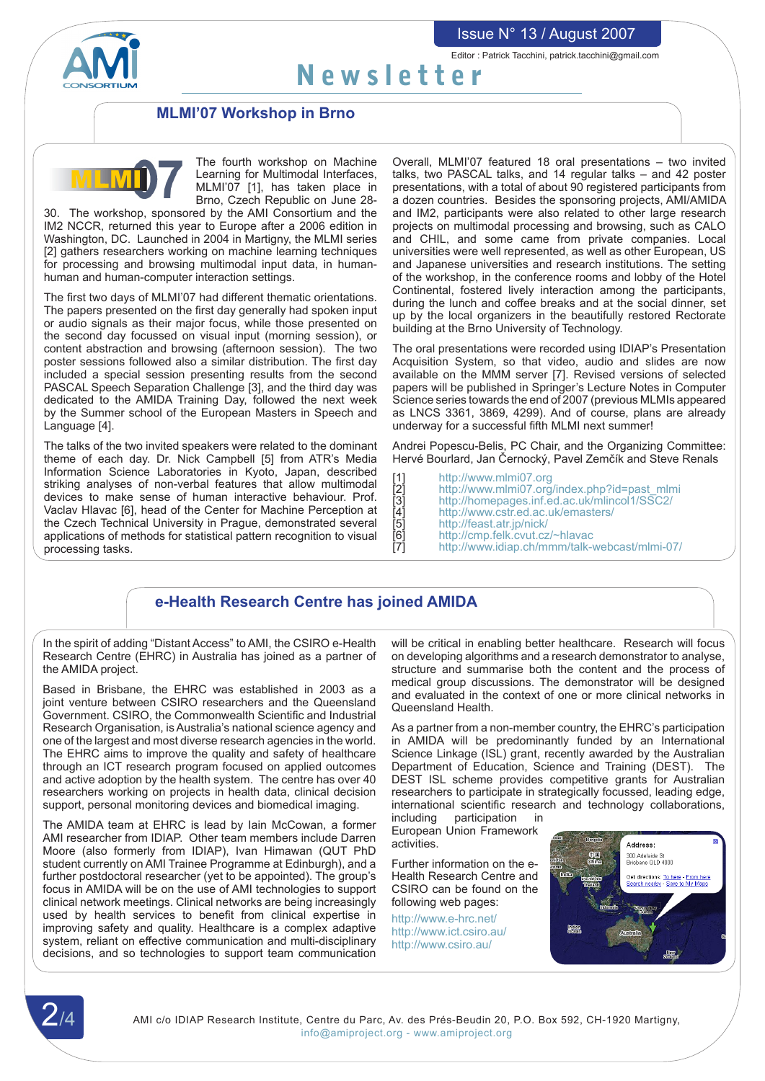

Editor : Patrick Tacchini, patrick.tacchini@gmail.com

# Newsletter

## **MLMI'07 Workshop in Brno**



The fourth workshop on Machine Learning for Multimodal Interfaces, MLMI'07 [1], has taken place in Brno, Czech Republic on June 28-

30. The workshop, sponsored by the AMI Consortium and the IM2 NCCR, returned this year to Europe after a 2006 edition in Washington, DC. Launched in 2004 in Martigny, the MLMI series [2] gathers researchers working on machine learning techniques for processing and browsing multimodal input data, in humanhuman and human-computer interaction settings.

The first two days of MLMI'07 had different thematic orientations. The papers presented on the first day generally had spoken input or audio signals as their major focus, while those presented on the second day focussed on visual input (morning session), or content abstraction and browsing (afternoon session). The two poster sessions followed also a similar distribution. The first day included a special session presenting results from the second PASCAL Speech Separation Challenge [3], and the third day was dedicated to the AMIDA Training Day, followed the next week by the Summer school of the European Masters in Speech and Language [4].

The talks of the two invited speakers were related to the dominant theme of each day. Dr. Nick Campbell [5] from ATR's Media Information Science Laboratories in Kyoto, Japan, described striking analyses of non-verbal features that allow multimodal devices to make sense of human interactive behaviour. Prof. Vaclav Hlavac [6], head of the Center for Machine Perception at the Czech Technical University in Prague, demonstrated several applications of methods for statistical pattern recognition to visual processing tasks.

Overall, MLMI'07 featured 18 oral presentations – two invited talks, two PASCAL talks, and 14 regular talks – and 42 poster presentations, with a total of about 90 registered participants from a dozen countries. Besides the sponsoring projects, AMI/AMIDA and IM2, participants were also related to other large research projects on multimodal processing and browsing, such as CALO and CHIL, and some came from private companies. Local universities were well represented, as well as other European, US and Japanese universities and research institutions. The setting of the workshop, in the conference rooms and lobby of the Hotel Continental, fostered lively interaction among the participants, during the lunch and coffee breaks and at the social dinner, set up by the local organizers in the beautifully restored Rectorate building at the Brno University of Technology.

The oral presentations were recorded using IDIAP's Presentation Acquisition System, so that video, audio and slides are now available on the MMM server [7]. Revised versions of selected papers will be published in Springer's Lecture Notes in Computer Science series towards the end of 2007 (previous MLMIs appeared as LNCS 3361, 3869, 4299). And of course, plans are already underway for a successful fifth MLMI next summer!

Andrei Popescu-Belis, PC Chair, and the Organizing Committee: Hervé Bourlard, Jan Černocký, Pavel Zemčík and Steve Renals

[1] http://www.mlmi07.org<br>[2] http://www.mlmi07.org<br>[3] http://homepages.inf.er http://www.mlmi07.org/index.php?id=past\_mlmi [3] http://homepages.inf.ed.ac.uk/mlincol1/SSC2/<br>
[4] http://www.cstr.ed.ac.uk/emasters/<br>
[5] http://feast.atr.jp/nick/<br>
[6] http://cmp.felk.cvut.cz/~hlavac<br>
[7] http://www.idiap.ch/mmm/talk-webcast/mlmi-0 http://feast.atr.jp/nick/ http://cmp.felk.cvut.cz/~hlavac http://www.idiap.ch/mmm/talk-webcast/mlmi-07/

# **e-Health Research Centre has joined AMIDA**

In the spirit of adding "Distant Access" to AMI, the CSIRO e-Health Research Centre (EHRC) in Australia has joined as a partner of the AMIDA project.

Based in Brisbane, the EHRC was established in 2003 as a joint venture between CSIRO researchers and the Queensland Government. CSIRO, the Commonwealth Scientific and Industrial Research Organisation, is Australia's national science agency and one of the largest and most diverse research agencies in the world. The EHRC aims to improve the quality and safety of healthcare through an ICT research program focused on applied outcomes and active adoption by the health system. The centre has over 40 researchers working on projects in health data, clinical decision support, personal monitoring devices and biomedical imaging.

The AMIDA team at EHRC is lead by Iain McCowan, a former AMI researcher from IDIAP. Other team members include Darren Moore (also formerly from IDIAP), Ivan Himawan (QUT PhD student currently on AMI Trainee Programme at Edinburgh), and a further postdoctoral researcher (yet to be appointed). The group's focus in AMIDA will be on the use of AMI technologies to support clinical network meetings. Clinical networks are being increasingly used by health services to benefit from clinical expertise in improving safety and quality. Healthcare is a complex adaptive system, reliant on effective communication and multi-disciplinary decisions, and so technologies to support team communication will be critical in enabling better healthcare. Research will focus on developing algorithms and a research demonstrator to analyse, structure and summarise both the content and the process of medical group discussions. The demonstrator will be designed and evaluated in the context of one or more clinical networks in Queensland Health.

As a partner from a non-member country, the EHRC's participation in AMIDA will be predominantly funded by an International Science Linkage (ISL) grant, recently awarded by the Australian Department of Education, Science and Training (DEST). The DEST ISL scheme provides competitive grants for Australian researchers to participate in strategically focussed, leading edge, international scientific research and technology collaborations,

including participation in European Union Framework activities.

Further information on the e-Health Research Centre and CSIRO can be found on the following web pages:

http://www.e-hrc.net/ http://www.ict.csiro.au/ http://www.csiro.au/



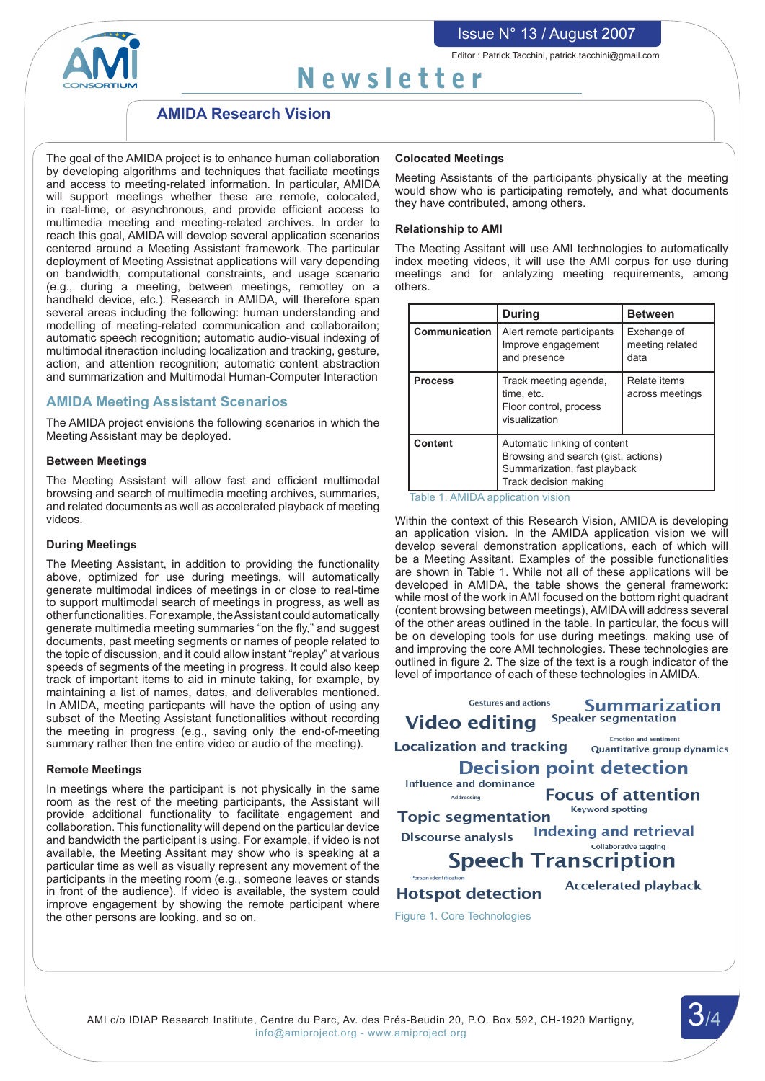

Editor : Patrick Tacchini, patrick.tacchini@gmail.com

# Newsletter

## **AMIDA Research Vision**

The goal of the AMIDA project is to enhance human collaboration by developing algorithms and techniques that faciliate meetings and access to meeting-related information. In particular, AMIDA will support meetings whether these are remote, colocated, in real-time, or asynchronous, and provide efficient access to multimedia meeting and meeting-related archives. In order to reach this goal, AMIDA will develop several application scenarios centered around a Meeting Assistant framework. The particular deployment of Meeting Assistnat applications will vary depending on bandwidth, computational constraints, and usage scenario (e.g., during a meeting, between meetings, remotley on a handheld device, etc.). Research in AMIDA, will therefore span several areas including the following: human understanding and modelling of meeting-related communication and collaboraiton; automatic speech recognition; automatic audio-visual indexing of multimodal itneraction including localization and tracking, gesture, action, and attention recognition; automatic content abstraction and summarization and Multimodal Human-Computer Interaction

## **AMIDA Meeting Assistant Scenarios**

The AMIDA project envisions the following scenarios in which the Meeting Assistant may be deployed.

#### **Between Meetings**

The Meeting Assistant will allow fast and efficient multimodal browsing and search of multimedia meeting archives, summaries, and related documents as well as accelerated playback of meeting videos.

#### **During Meetings**

The Meeting Assistant, in addition to providing the functionality above, optimized for use during meetings, will automatically generate multimodal indices of meetings in or close to real-time to support multimodal search of meetings in progress, as well as otherfunctionalities.For example, theAssistant could automatically generate multimedia meeting summaries "on the fly," and suggest documents, past meeting segments or names of people related to the topic of discussion, and it could allow instant "replay" at various speeds of segments of the meeting in progress. It could also keep track of important items to aid in minute taking, for example, by maintaining a list of names, dates, and deliverables mentioned. In AMIDA, meeting particpants will have the option of using any subset of the Meeting Assistant functionalities without recording the meeting in progress (e.g., saving only the end-of-meeting summary rather then tne entire video or audio of the meeting).

#### **Remote Meetings**

In meetings where the participant is not physically in the same room as the rest of the meeting participants, the Assistant will provide additional functionality to facilitate engagement and collaboration. This functionality will depend on the particular device and bandwidth the participant is using. For example, if video is not available, the Meeting Assitant may show who is speaking at a particular time as well as visually represent any movement of the participants in the meeting room (e.g., someone leaves or stands in front of the audience). If video is available, the system could improve engagement by showing the remote participant where the other persons are looking, and so on.

#### **Colocated Meetings**

Meeting Assistants of the participants physically at the meeting would show who is participating remotely, and what documents they have contributed, among others.

#### **Relationship to AMI**

The Meeting Assitant will use AMI technologies to automatically index meeting videos, it will use the AMI corpus for use during meetings and for anlalyzing meeting requirements, among others.

|                | <b>During</b>                                                                  | <b>Between</b>                                                                                      |  |
|----------------|--------------------------------------------------------------------------------|-----------------------------------------------------------------------------------------------------|--|
| Communication  | Alert remote participants<br>Improve engagement<br>and presence                | Exchange of<br>meeting related<br>data                                                              |  |
| <b>Process</b> | Track meeting agenda,<br>time, etc.<br>Floor control, process<br>visualization | Relate items<br>across meetings                                                                     |  |
| Content        | Track decision making                                                          | Automatic linking of content<br>Browsing and search (gist, actions)<br>Summarization, fast playback |  |

Table 1. AMIDA application vision

Within the context of this Research Vision, AMIDA is developing an application vision. In the AMIDA application vision we will develop several demonstration applications, each of which will be a Meeting Assitant. Examples of the possible functionalities are shown in Table 1. While not all of these applications will be developed in AMIDA, the table shows the general framework: while most of the work inAMI focused on the bottom right quadrant (content browsing between meetings),AMIDA will address several of the other areas outlined in the table. In particular, the focus will be on developing tools for use during meetings, making use of and improving the core AMI technologies. These technologies are outlined in figure 2. The size of the text is a rough indicator of the level of importance of each of these technologies in AMIDA.